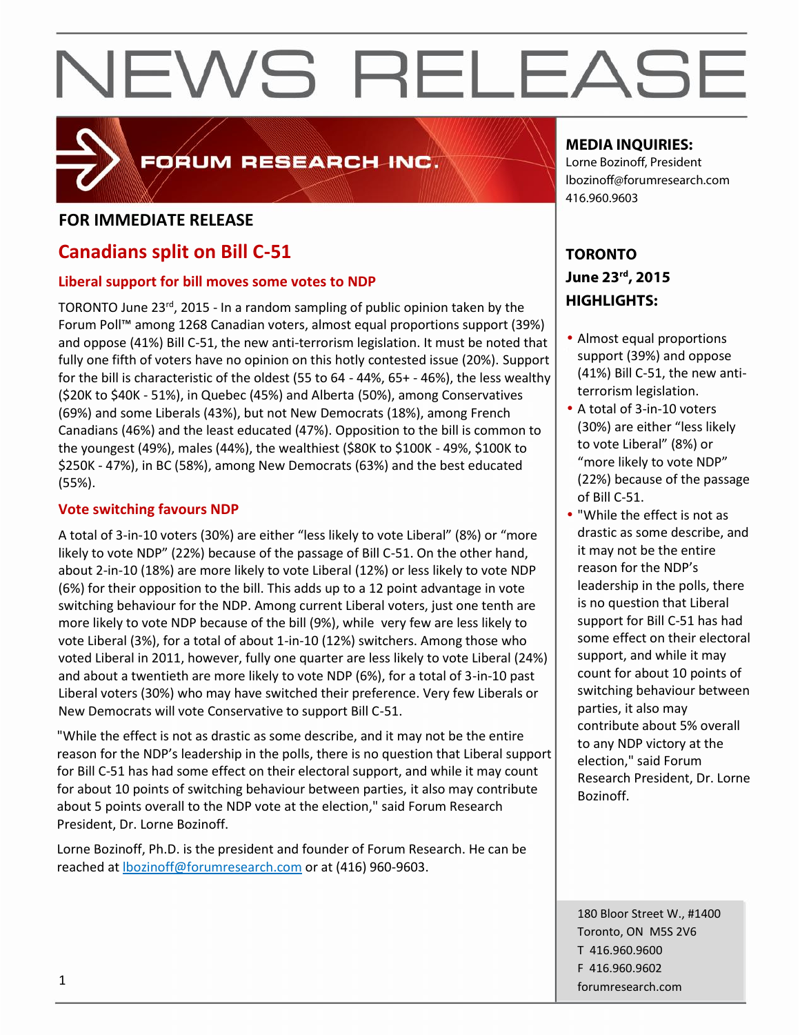

## FORUM RESEARCH INC.

#### **FOR IMMEDIATE RELEASE**

### **Canadians split on Bill C-51**

#### **Liberal support for bill moves some votes to NDP**

TORONTO June 23<sup>rd</sup>, 2015 - In a random sampling of public opinion taken by the  $\blacksquare$ Forum Poll™ among 1268 Canadian voters, almost equal proportions support (39%) and oppose (41%) Bill C-51, the new anti-terrorism legislation. It must be noted that fully one fifth of voters have no opinion on this hotly contested issue (20%). Support for the bill is characteristic of the oldest (55 to 64 - 44%, 65+ - 46%), the less wealthy (\$20K to \$40K - 51%), in Quebec (45%) and Alberta (50%), among Conservatives (69%) and some Liberals (43%), but not New Democrats (18%), among French Canadians (46%) and the least educated (47%). Opposition to the bill is common to the youngest (49%), males (44%), the wealthiest (\$80K to \$100K - 49%, \$100K to \$250K - 47%), in BC (58%), among New Democrats (63%) and the best educated (55%).

#### **Vote switching favours NDP**

A total of 3-in-10 voters (30%) are either "less likely to vote Liberal" (8%) or "more likely to vote NDP" (22%) because of the passage of Bill C-51. On the other hand, about 2-in-10 (18%) are more likely to vote Liberal (12%) or less likely to vote NDP (6%) for their opposition to the bill. This adds up to a 12 point advantage in vote switching behaviour for the NDP. Among current Liberal voters, just one tenth are more likely to vote NDP because of the bill (9%), while very few are less likely to vote Liberal (3%), for a total of about 1-in-10 (12%) switchers. Among those who voted Liberal in 2011, however, fully one quarter are less likely to vote Liberal (24%) and about a twentieth are more likely to vote NDP (6%), for a total of 3-in-10 past Liberal voters (30%) who may have switched their preference. Very few Liberals or New Democrats will vote Conservative to support Bill C-51.

"While the effect is not as drastic as some describe, and it may not be the entire reason for the NDP's leadership in the polls, there is no question that Liberal support for Bill C-51 has had some effect on their electoral support, and while it may count for about 10 points of switching behaviour between parties, it also may contribute about 5 points overall to the NDP vote at the election," said Forum Research President, Dr. Lorne Bozinoff.

Lorne Bozinoff, Ph.D. is the president and founder of Forum Research. He can be reached at lbozinoff@forumresearch.com or at (416) 960-9603.

#### **MEDIA INQUIRIES:**

Lorne Bozinoff, President lbozinoff@forumresearch.com 416.960.9603

### **TORONTO June 23rd, 2015 HIGHLIGHTS:**

- Almost equal proportions support (39%) and oppose (41%) Bill C-51, the new anti terrorism legislation.
- A total of 3-in-10 voters (30%) are either "less likely to vote Liberal" (8%) or "more likely to vote NDP" (22%) because of the passage of Bill C-51.
- "While the effect is not as drastic as some describe, and it may not be the entire reason for the NDP's leadership in the polls, there is no question that Liberal support for Bill C-51 has had some effect on their electoral support, and while it may count for about 10 points of switching behaviour between parties, it also may contribute about 5% overall to any NDP victory at the election," said Forum Research President, Dr. Lorne Bozinoff.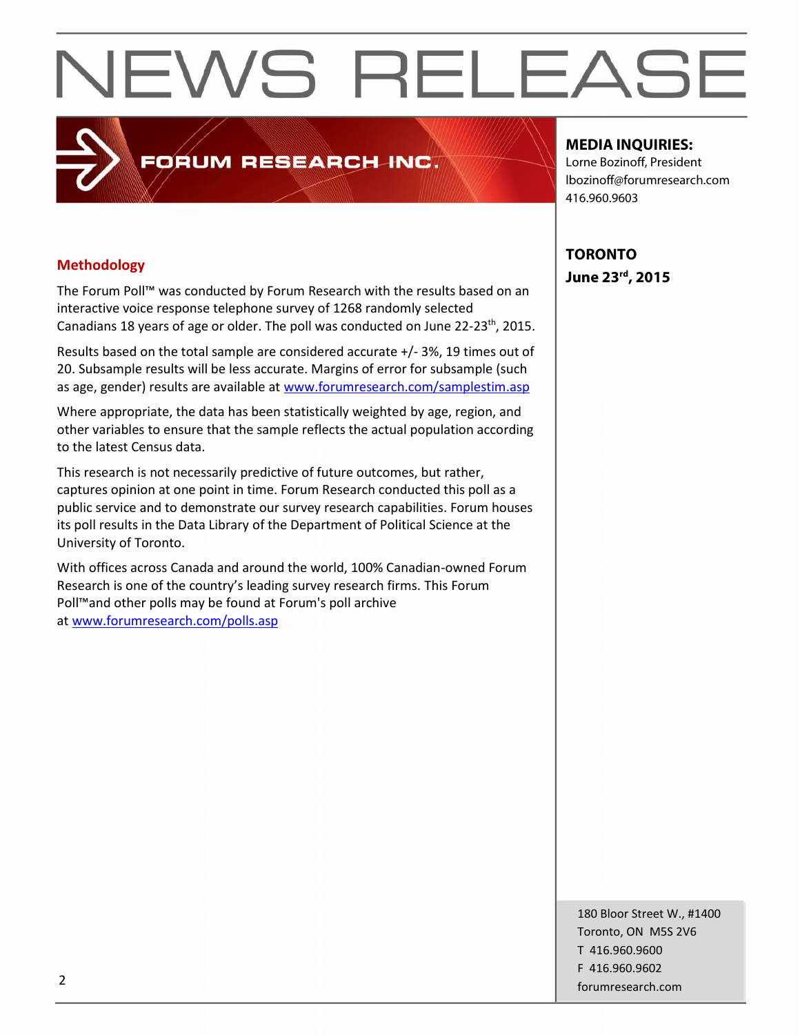The Forum Poll™ was conducted by Forum Research with the results based on an interactive voice response telephone survey of 1268 randomly selected Canadians 18 years of age or older. The poll was conducted on June 22-23<sup>th</sup>, 2015.  $\vert$ 

FORUM RESEARCH INC.

Results based on the total sample are considered accurate +/- 3%, 19 times out of 20. Subsample results will be less accurate. Margins of error for subsample (such as age, gender) results are available at www.forumresearch.com/samplestim.asp

Where appropriate, the data has been statistically weighted by age, region, and other variables to ensure that the sample reflects the actual population according to the latest Census data.

This research is not necessarily predictive of future outcomes, but rather, captures opinion at one point in time. Forum Research conducted this poll as a public service and to demonstrate our survey research capabilities. Forum houses its poll results in the Data Library of the Department of Political Science at the University of Toronto.

With offices across Canada and around the world, 100% Canadian-owned Forum Research is one of the country's leading survey research firms. This Forum Poll™and other polls may be found at Forum's poll archive at www.forumresearch.com/polls.asp

#### **MEDIA INQUIRIES:**

Lorne Bozinoff, President lbozinoff@forumresearch.com 416.960.9603

**TORONTO June 23rd, 2015 Methodology**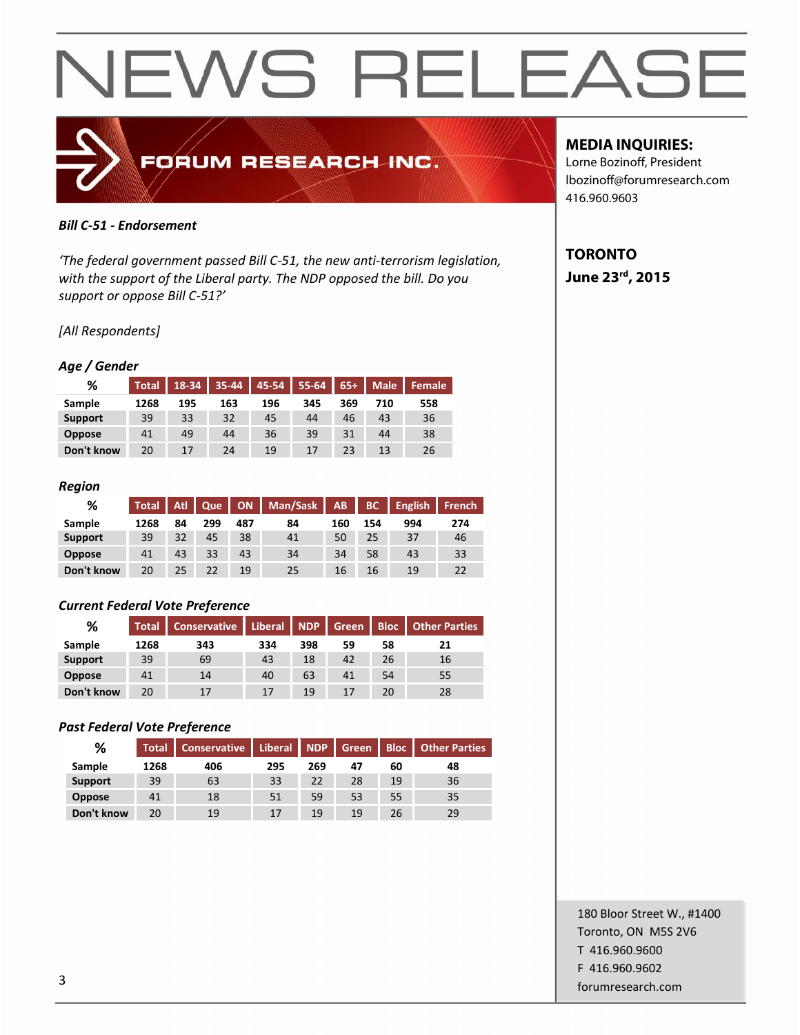

#### *Bill C-51 - Endorsement*

*'The federal government passed Bill C-51, the new anti-terrorism legislation, with the support of the Liberal party. The NDP opposed the bill. Do you support or oppose Bill C-51?'*

#### *[All Respondents]*

#### *Age / Gender*

| %              | <b>Total</b> |     |     | 18-34 35-44 45-54 55-64 |     |     | $65+$ Male | l Female <sup>1</sup> |
|----------------|--------------|-----|-----|-------------------------|-----|-----|------------|-----------------------|
| Sample         | 1268         | 195 | 163 | 196                     | 345 | 369 | 710        | 558                   |
| <b>Support</b> | 39           | 33  | 32  | 45                      | 44  | 46  | 43         | 36                    |
| <b>Oppose</b>  | 41           | 49  | 44  | 36                      | 39  | 31  | 44         | 38                    |
| Don't know     | 20           | 17  | 24  | 19                      | 17  | 23  | 13         | 26                    |

#### *Region*

| %              |      |    |     |     | Total   Atl   Que   ON   Man/Sask   AB |     | <b>THE BOOM</b> | English | <b>French</b> |
|----------------|------|----|-----|-----|----------------------------------------|-----|-----------------|---------|---------------|
| Sample         | 1268 | 84 | 299 | 487 | 84                                     | 160 | 154             | 994     | 274           |
| <b>Support</b> | 39   | 32 | 45  | 38  | 41                                     | 50  | 25              | 37      | 46            |
| <b>Oppose</b>  | 41   | 43 | 33  | 43  | 34                                     | 34  | 58              | 43      | 33            |
| Don't know     | 20   | 25 | 22  | 19  | 25                                     | 16  | 16              | 19      | 22            |

#### *Current Federal Vote Preference*

| %              | <b>Total</b> | <b>Conservative</b> | Liberal   NDP |     | Green |    | <b>Bloc</b>   Other Parties |  |
|----------------|--------------|---------------------|---------------|-----|-------|----|-----------------------------|--|
| Sample         | 1268         | 343                 | 334           | 398 | 59    | 58 | 21                          |  |
| <b>Support</b> | 39           | 69                  | 43            | 18  | 42    | 26 | 16                          |  |
| <b>Oppose</b>  | 41           | 14                  | 40            | 63  | 41    | 54 | 55                          |  |
| Don't know     | 20           | 17                  | 17            | 19  | 17    | 20 | 28                          |  |

#### *Past Federal Vote Preference*

| %              | <b>Total</b> | <b>Conservative</b> | Liberal NDP |     |    |    | Green Bloc Other Parties |  |
|----------------|--------------|---------------------|-------------|-----|----|----|--------------------------|--|
| Sample         | 1268         | 406                 | 295         | 269 | 47 | 60 | 48                       |  |
| <b>Support</b> | 39           | 63                  | 33          | 22  | 28 | 19 | 36                       |  |
| <b>Oppose</b>  | 41           | 18                  | 51          | 59  | 53 | 55 | 35                       |  |
| Don't know     | 20           | 19                  | 17          | 19  | 19 | 26 | 29                       |  |

#### **MEDIA INQUIRIES:**

Lorne Bozinoff, President lbozinoff@forumresearch.com 416.960.9603

### **TORONTO June 23rd, 2015**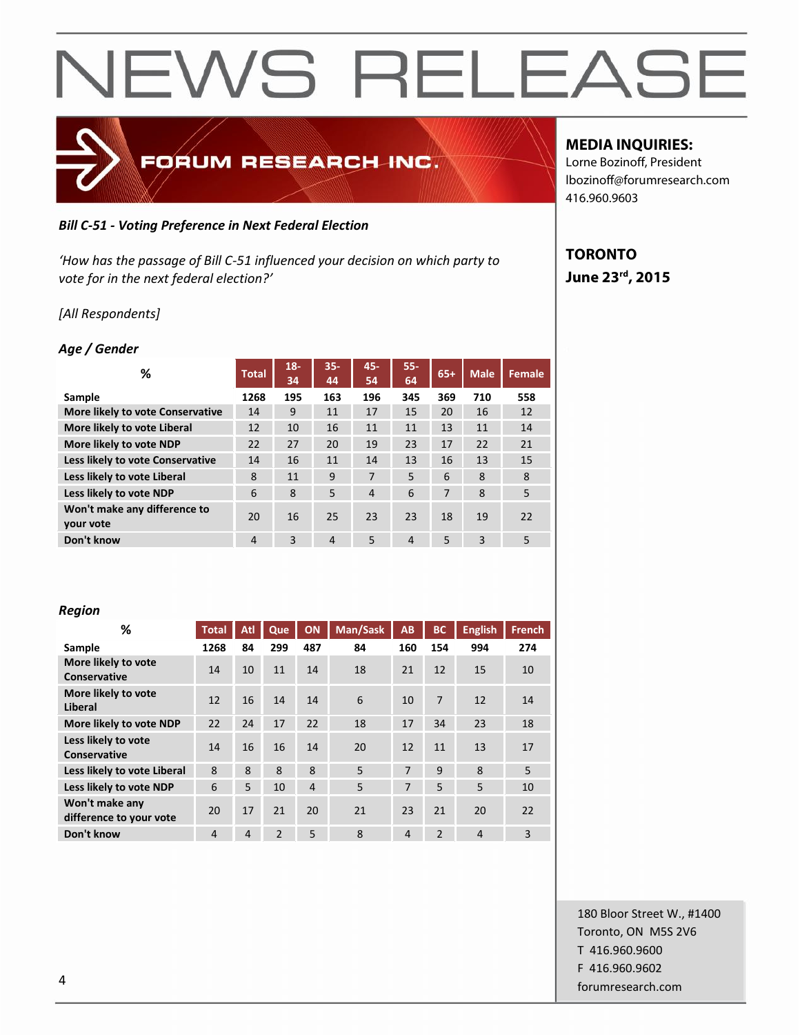

#### *Bill C-51 - Voting Preference in Next Federal Election*

*'How has the passage of Bill C-51 influenced your decision on which party to vote for in the next federal election?'*

*[All Respondents]*

#### *Age / Gender*

| %                                         | <b>Total</b> | $18 -$<br>34 | $35 -$<br>44   | 45-<br>54 | $55 -$<br>64   | $65+$ | <b>Male</b> | <b>Female</b> |
|-------------------------------------------|--------------|--------------|----------------|-----------|----------------|-------|-------------|---------------|
| Sample                                    | 1268         | 195          | 163            | 196       | 345            | 369   | 710         | 558           |
| <b>More likely to vote Conservative</b>   | 14           | 9            | 11             | 17        | 15             | 20    | 16          | 12            |
| More likely to vote Liberal               | 12           | 10           | 16             | 11        | 11             | 13    | 11          | 14            |
| More likely to vote NDP                   | 22           | 27           | 20             | 19        | 23             | 17    | 22          | 21            |
| Less likely to vote Conservative          | 14           | 16           | 11             | 14        | 13             | 16    | 13          | 15            |
| Less likely to vote Liberal               | 8            | 11           | 9              | 7         | 5              | 6     | 8           | 8             |
| Less likely to vote NDP                   | 6            | 8            | 5              | 4         | 6              | 7     | 8           | 5             |
| Won't make any difference to<br>your vote | 20           | 16           | 25             | 23        | 23             | 18    | 19          | 22            |
| Don't know                                | 4            | 3            | $\overline{4}$ | 5         | $\overline{4}$ | 5     | 3           | 5             |

#### **MEDIA INQUIRIES:**

Lorne Bozinoff, President lbozinoff@forumresearch.com 416.960.9603

### **TORONTO June 23rd, 2015**

#### *Region*

| %                                         | <b>Total</b> | Atl            | Que            | ON             | Man/Sask | AB             | BC             | <b>English</b> | <b>French</b> |
|-------------------------------------------|--------------|----------------|----------------|----------------|----------|----------------|----------------|----------------|---------------|
| Sample                                    | 1268         | 84             | 299            | 487            | 84       | 160            | 154            | 994            | 274           |
| More likely to vote<br>Conservative       | 14           | 10             | 11             | 14             | 18       | 21             | 12             | 15             | 10            |
| More likely to vote<br>Liberal            | 12           | 16             | 14             | 14             | 6        | 10             | 7              | 12             | 14            |
| More likely to vote NDP                   | 22           | 24             | 17             | 22             | 18       | 17             | 34             | 23             | 18            |
| Less likely to vote<br>Conservative       | 14           | 16             | 16             | 14             | 20       | 12             | 11             | 13             | 17            |
| Less likely to vote Liberal               | 8            | 8              | $\mathbf{8}$   | $\mathbf{8}$   | 5        | 7              | $\mathbf{q}$   | 8              | 5             |
| Less likely to vote NDP                   | 6            | 5              | 10             | $\overline{4}$ | 5        | 7              | 5              | 5              | 10            |
| Won't make any<br>difference to your vote | 20           | 17             | 21             | 20             | 21       | 23             | 21             | 20             | 22            |
| Don't know                                | 4            | $\overline{4}$ | $\overline{2}$ | 5              | 8        | $\overline{4}$ | $\overline{2}$ | $\overline{4}$ | 3             |